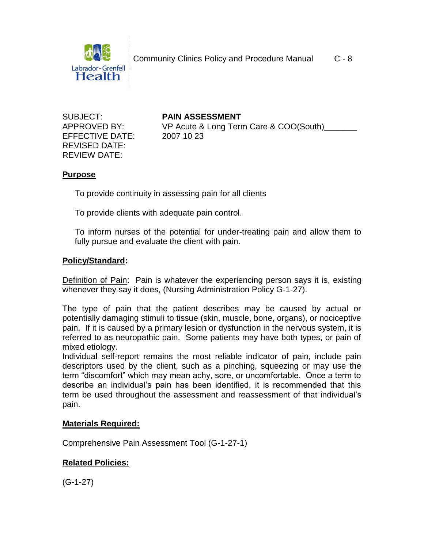

EFFECTIVE DATE: 2007 10 23 REVISED DATE: REVIEW DATE:

SUBJECT: **PAIN ASSESSMENT** APPROVED BY: VP Acute & Long Term Care & COO(South)

## **Purpose**

To provide continuity in assessing pain for all clients

To provide clients with adequate pain control.

To inform nurses of the potential for under-treating pain and allow them to fully pursue and evaluate the client with pain.

#### **Policy/Standard:**

Definition of Pain: Pain is whatever the experiencing person says it is, existing whenever they say it does, (Nursing Administration Policy G-1-27).

The type of pain that the patient describes may be caused by actual or potentially damaging stimuli to tissue (skin, muscle, bone, organs), or nociceptive pain. If it is caused by a primary lesion or dysfunction in the nervous system, it is referred to as neuropathic pain. Some patients may have both types, or pain of mixed etiology.

Individual self-report remains the most reliable indicator of pain, include pain descriptors used by the client, such as a pinching, squeezing or may use the term "discomfort" which may mean achy, sore, or uncomfortable. Once a term to describe an individual's pain has been identified, it is recommended that this term be used throughout the assessment and reassessment of that individual's pain.

#### **Materials Required:**

Comprehensive Pain Assessment Tool (G-1-27-1)

## **Related Policies:**

 $(G-1-27)$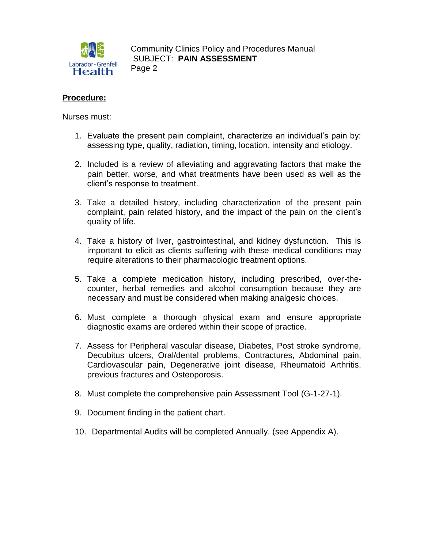

Community Clinics Policy and Procedures Manual **Example 3 SUBJECT: PAIN ASSESSMENT** Page 2

### **Procedure:**

Nurses must:

- 1. Evaluate the present pain complaint, characterize an individual's pain by: assessing type, quality, radiation, timing, location, intensity and etiology.
- 2. Included is a review of alleviating and aggravating factors that make the pain better, worse, and what treatments have been used as well as the client's response to treatment.
- 3. Take a detailed history, including characterization of the present pain complaint, pain related history, and the impact of the pain on the client's quality of life.
- 4. Take a history of liver, gastrointestinal, and kidney dysfunction. This is important to elicit as clients suffering with these medical conditions may require alterations to their pharmacologic treatment options.
- 5. Take a complete medication history, including prescribed, over-thecounter, herbal remedies and alcohol consumption because they are necessary and must be considered when making analgesic choices.
- 6. Must complete a thorough physical exam and ensure appropriate diagnostic exams are ordered within their scope of practice.
- 7. Assess for Peripheral vascular disease, Diabetes, Post stroke syndrome, Decubitus ulcers, Oral/dental problems, Contractures, Abdominal pain, Cardiovascular pain, Degenerative joint disease, Rheumatoid Arthritis, previous fractures and Osteoporosis.
- 8. Must complete the comprehensive pain Assessment Tool (G-1-27-1).
- 9. Document finding in the patient chart.
- 10. Departmental Audits will be completed Annually. (see Appendix A).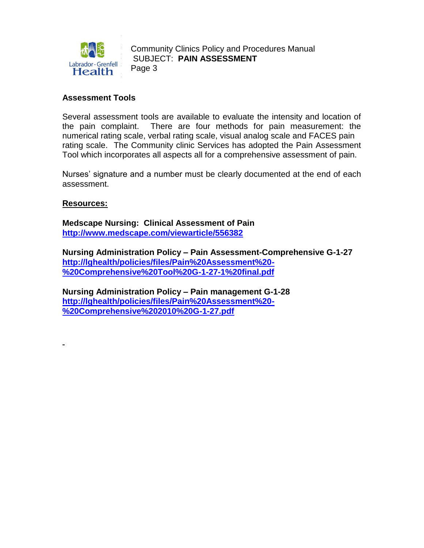

Community Clinics Policy and Procedures Manual **Example 3 SUBJECT: PAIN ASSESSMENT** Page 3

### **Assessment Tools**

Several assessment tools are available to evaluate the intensity and location of the pain complaint. There are four methods for pain measurement: the numerical rating scale, verbal rating scale, visual analog scale and FACES pain rating scale. The Community clinic Services has adopted the Pain Assessment Tool which incorporates all aspects all for a comprehensive assessment of pain.

Nurses' signature and a number must be clearly documented at the end of each assessment.

#### **Resources:**

**Medscape Nursing: Clinical Assessment of Pain [http://www.me](http://www.m/)dscape.com/viewarticle/556382**

**Nursing Administration Policy – Pain Assessment-Comprehensive G-1-27 [http://lghealth/policies/files/Pain%20Assessment%20-](http://lghealth/policies/files/Pain%20Assessment%20-%20Comprehensive%20Tool%20G-1-27-1%20final.pdf) [%20Comprehensive%20Tool%20G-1-27-1%20final.pdf](http://lghealth/policies/files/Pain%20Assessment%20-%20Comprehensive%20Tool%20G-1-27-1%20final.pdf)**

**Nursing Administration Policy – Pain management G-1-28 [http://lghealth/policies/files/Pain%20Assessment%20-](http://lghealth/policies/files/Pain%20Assessment%20-%20Comprehensive%202010%20G-1-27.pdf) [%20Comprehensive%202010%20G-1-27.pdf](http://lghealth/policies/files/Pain%20Assessment%20-%20Comprehensive%202010%20G-1-27.pdf)**